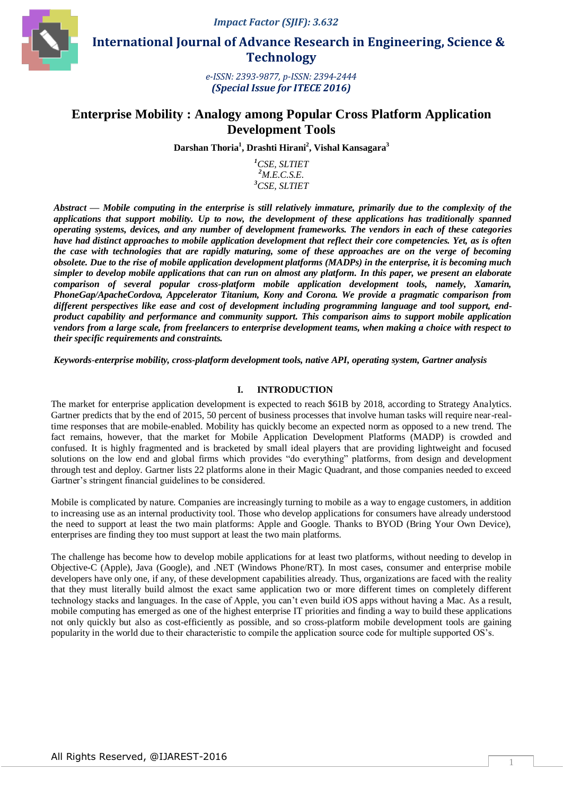

 **International Journal of Advance Research in Engineering, Science & Technology** 

> *e-ISSN: 2393-9877, p-ISSN: 2394-2444 (Special Issue for ITECE 2016)*

# **Enterprise Mobility : Analogy among Popular Cross Platform Application Development Tools**

**Darshan Thoria<sup>1</sup> , Drashti Hirani<sup>2</sup> , Vishal Kansagara<sup>3</sup>**

*<sup>1</sup>CSE, SLTIET <sup>2</sup>M.E.C.S.E. <sup>3</sup>CSE, SLTIET*

*Abstract* **—** *Mobile computing in the enterprise is still relatively immature, primarily due to the complexity of the applications that support mobility. Up to now, the development of these applications has traditionally spanned operating systems, devices, and any number of development frameworks. The vendors in each of these categories have had distinct approaches to mobile application development that reflect their core competencies. Yet, as is often the case with technologies that are rapidly maturing, some of these approaches are on the verge of becoming obsolete. Due to the rise of mobile application development platforms (MADPs) in the enterprise, it is becoming much simpler to develop mobile applications that can run on almost any platform. In this paper, we present an elaborate comparison of several popular cross-platform mobile application development tools, namely, Xamarin, PhoneGap/ApacheCordova, Appcelerator Titanium, Kony and Corona. We provide a pragmatic comparison from different perspectives like ease and cost of development including programming language and tool support, endproduct capability and performance and community support. This comparison aims to support mobile application vendors from a large scale, from freelancers to enterprise development teams, when making a choice with respect to their specific requirements and constraints.*

*Keywords-enterprise mobility, cross-platform development tools, native API, operating system, Gartner analysis*

## **I. INTRODUCTION**

The market for enterprise application development is expected to reach \$61B by 2018, according to Strategy Analytics. Gartner predicts that by the end of 2015, 50 percent of business processes that involve human tasks will require near-realtime responses that are mobile-enabled. Mobility has quickly become an expected norm as opposed to a new trend. The fact remains, however, that the market for Mobile Application Development Platforms (MADP) is crowded and confused. It is highly fragmented and is bracketed by small ideal players that are providing lightweight and focused solutions on the low end and global firms which provides "do everything" platforms, from design and development through test and deploy. Gartner lists 22 platforms alone in their Magic Quadrant, and those companies needed to exceed Gartner's stringent financial guidelines to be considered.

Mobile is complicated by nature. Companies are increasingly turning to mobile as a way to engage customers, in addition to increasing use as an internal productivity tool. Those who develop applications for consumers have already understood the need to support at least the two main platforms: Apple and Google. Thanks to BYOD (Bring Your Own Device), enterprises are finding they too must support at least the two main platforms.

The challenge has become how to develop mobile applications for at least two platforms, without needing to develop in Objective-C (Apple), Java (Google), and .NET (Windows Phone/RT). In most cases, consumer and enterprise mobile developers have only one, if any, of these development capabilities already. Thus, organizations are faced with the reality that they must literally build almost the exact same application two or more different times on completely different technology stacks and languages. In the case of Apple, you can't even build iOS apps without having a Mac. As a result, mobile computing has emerged as one of the highest enterprise IT priorities and finding a way to build these applications not only quickly but also as cost-efficiently as possible, and so cross-platform mobile development tools are gaining popularity in the world due to their characteristic to compile the application source code for multiple supported OS's.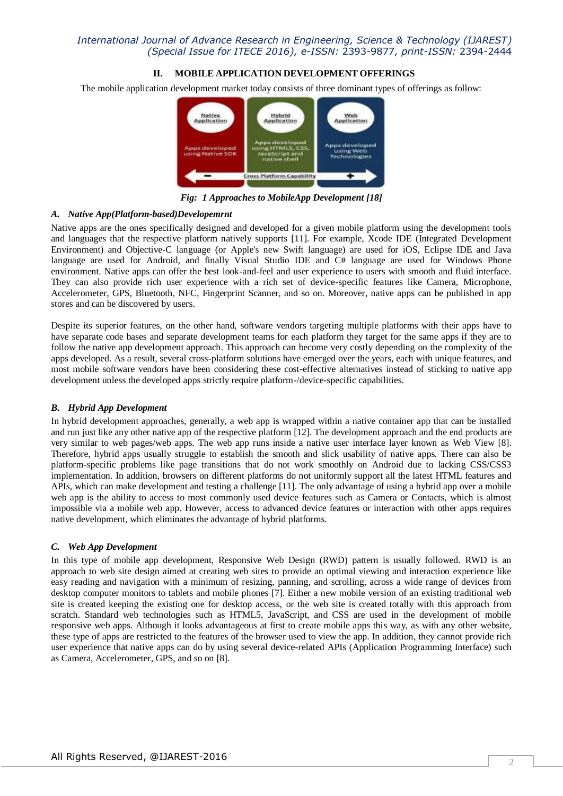## **II. MOBILE APPLICATION DEVELOPMENT OFFERINGS**

The mobile application development market today consists of three dominant types of offerings as follow:



*Fig: 1 Approaches to MobileApp Development [18]*

#### *A. Native App(Platform-based)Developemrnt*

Native apps are the ones specifically designed and developed for a given mobile platform using the development tools and languages that the respective platform natively supports [11]. For example, Xcode IDE (Integrated Development Environment) and Objective-C language (or Apple's new Swift language) are used for iOS, Eclipse IDE and Java language are used for Android, and finally Visual Studio IDE and C# language are used for Windows Phone environment. Native apps can offer the best look-and-feel and user experience to users with smooth and fluid interface. They can also provide rich user experience with a rich set of device-specific features like Camera, Microphone, Accelerometer, GPS, Bluetooth, NFC, Fingerprint Scanner, and so on. Moreover, native apps can be published in app stores and can be discovered by users.

Despite its superior features, on the other hand, software vendors targeting multiple platforms with their apps have to have separate code bases and separate development teams for each platform they target for the same apps if they are to follow the native app development approach. This approach can become very costly depending on the complexity of the apps developed. As a result, several cross-platform solutions have emerged over the years, each with unique features, and most mobile software vendors have been considering these cost-effective alternatives instead of sticking to native app development unless the developed apps strictly require platform-/device-specific capabilities.

## *B. Hybrid App Development*

In hybrid development approaches, generally, a web app is wrapped within a native container app that can be installed and run just like any other native app of the respective platform [12]. The development approach and the end products are very similar to web pages/web apps. The web app runs inside a native user interface layer known as Web View [8]. Therefore, hybrid apps usually struggle to establish the smooth and slick usability of native apps. There can also be platform-specific problems like page transitions that do not work smoothly on Android due to lacking CSS/CSS3 implementation. In addition, browsers on different platforms do not uniformly support all the latest HTML features and APIs, which can make development and testing a challenge [11]. The only advantage of using a hybrid app over a mobile web app is the ability to access to most commonly used device features such as Camera or Contacts, which is almost impossible via a mobile web app. However, access to advanced device features or interaction with other apps requires native development, which eliminates the advantage of hybrid platforms.

## *C. Web App Development*

In this type of mobile app development, Responsive Web Design (RWD) pattern is usually followed. RWD is an approach to web site design aimed at creating web sites to provide an optimal viewing and interaction experience like easy reading and navigation with a minimum of resizing, panning, and scrolling, across a wide range of devices from desktop computer monitors to tablets and mobile phones [7]. Either a new mobile version of an existing traditional web site is created keeping the existing one for desktop access, or the web site is created totally with this approach from scratch. Standard web technologies such as HTML5, JavaScript, and CSS are used in the development of mobile responsive web apps. Although it looks advantageous at first to create mobile apps this way, as with any other website, these type of apps are restricted to the features of the browser used to view the app. In addition, they cannot provide rich user experience that native apps can do by using several device-related APIs (Application Programming Interface) such as Camera, Accelerometer, GPS, and so on [8].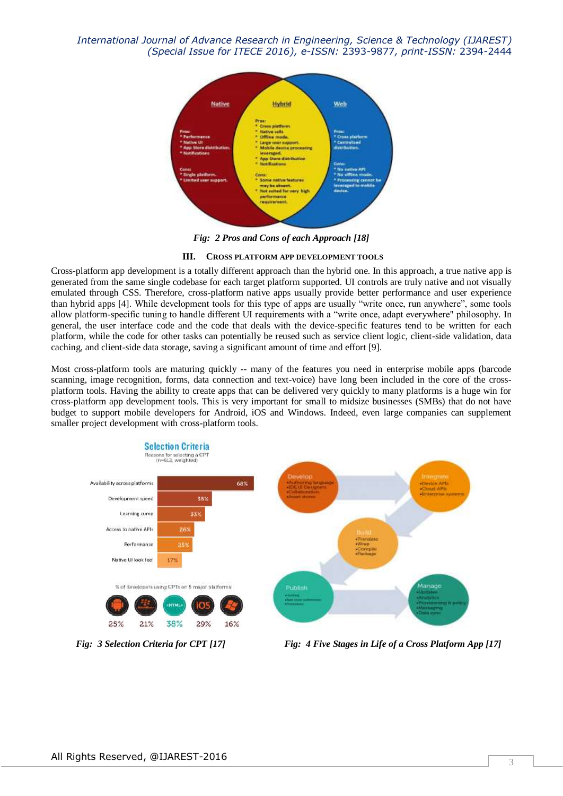

*Fig: 2 Pros and Cons of each Approach [18]*

#### **III. CROSS PLATFORM APP DEVELOPMENT TOOLS**

Cross-platform app development is a totally different approach than the hybrid one. In this approach, a true native app is generated from the same single codebase for each target platform supported. UI controls are truly native and not visually emulated through CSS. Therefore, cross-platform native apps usually provide better performance and user experience than hybrid apps [4]. While development tools for this type of apps are usually "write once, run anywhere", some tools allow platform-specific tuning to handle different UI requirements with a "write once, adapt everywhere" philosophy. In general, the user interface code and the code that deals with the device-specific features tend to be written for each platform, while the code for other tasks can potentially be reused such as service client logic, client-side validation, data caching, and client-side data storage, saving a significant amount of time and effort [9].

Most cross-platform tools are maturing quickly -- many of the features you need in enterprise mobile apps (barcode scanning, image recognition, forms, data connection and text-voice) have long been included in the core of the crossplatform tools. Having the ability to create apps that can be delivered very quickly to many platforms is a huge win for cross-platform app development tools. This is very important for small to midsize businesses (SMBs) that do not have budget to support mobile developers for Android, iOS and Windows. Indeed, even large companies can supplement smaller project development with cross-platform tools.



 *Fig: 3 Selection Criteria for CPT [17] Fig: 4 Five Stages in Life of a Cross Platform App [17]*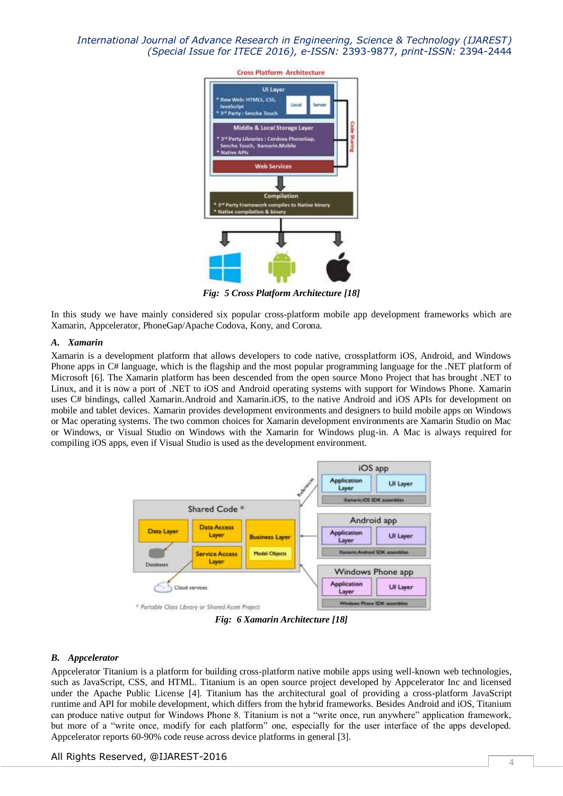

*Fig: 5 Cross Platform Architecture [18]*

In this study we have mainly considered six popular cross-platform mobile app development frameworks which are Xamarin, Appcelerator, PhoneGap/Apache Codova, Kony, and Corona.

#### *A. Xamarin*

Xamarin is a development platform that allows developers to code native, crossplatform iOS, Android, and Windows Phone apps in C# language, which is the flagship and the most popular programming language for the .NET platform of Microsoft [6]. The Xamarin platform has been descended from the open source Mono Project that has brought .NET to Linux, and it is now a port of .NET to iOS and Android operating systems with support for Windows Phone. Xamarin uses C# bindings, called Xamarin.Android and Xamarin.iOS, to the native Android and iOS APIs for development on mobile and tablet devices. Xamarin provides development environments and designers to build mobile apps on Windows or Mac operating systems. The two common choices for Xamarin development environments are Xamarin Studio on Mac or Windows, or Visual Studio on Windows with the Xamarin for Windows plug-in. A Mac is always required for compiling iOS apps, even if Visual Studio is used as the development environment.



*Fig: 6 Xamarin Architecture [18]*

#### *B. Appcelerator*

Appcelerator Titanium is a platform for building cross-platform native mobile apps using well-known web technologies, such as JavaScript, CSS, and HTML. Titanium is an open source project developed by Appcelerator Inc and licensed under the Apache Public License [4]. Titanium has the architectural goal of providing a cross-platform JavaScript runtime and API for mobile development, which differs from the hybrid frameworks. Besides Android and iOS, Titanium can produce native output for Windows Phone 8. Titanium is not a "write once, run anywhere" application framework, but more of a "write once, modify for each platform" one, especially for the user interface of the apps developed. Appcelerator reports 60-90% code reuse across device platforms in general [3].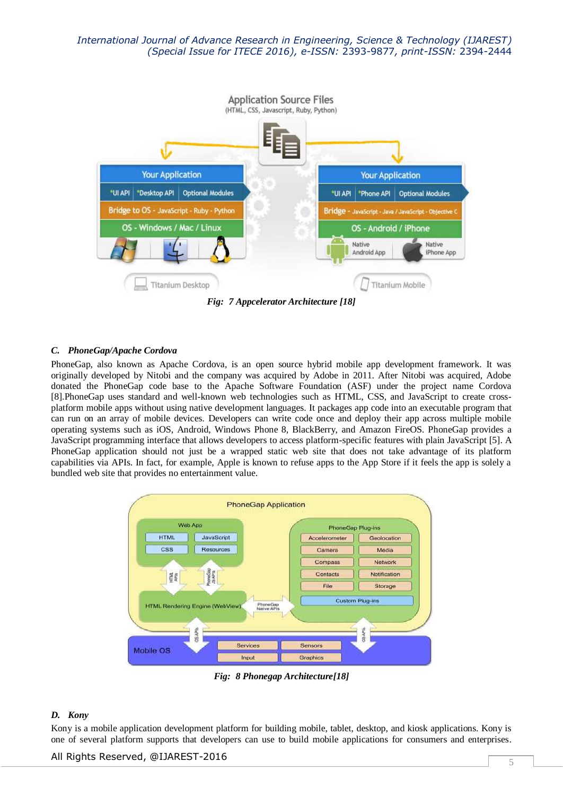

*Fig: 7 Appcelerator Architecture [18]*

## *C. PhoneGap/Apache Cordova*

PhoneGap, also known as Apache Cordova, is an open source hybrid mobile app development framework. It was originally developed by Nitobi and the company was acquired by Adobe in 2011. After Nitobi was acquired, Adobe donated the PhoneGap code base to the Apache Software Foundation (ASF) under the project name Cordova [8].PhoneGap uses standard and well-known web technologies such as HTML, CSS, and JavaScript to create crossplatform mobile apps without using native development languages. It packages app code into an executable program that can run on an array of mobile devices. Developers can write code once and deploy their app across multiple mobile operating systems such as iOS, Android, Windows Phone 8, BlackBerry, and Amazon FireOS. PhoneGap provides a JavaScript programming interface that allows developers to access platform-specific features with plain JavaScript [5]. A PhoneGap application should not just be a wrapped static web site that does not take advantage of its platform capabilities via APIs. In fact, for example, Apple is known to refuse apps to the App Store if it feels the app is solely a bundled web site that provides no entertainment value.



*Fig: 8 Phonegap Architecture[18]*

#### *D. Kony*

Kony is a mobile application development platform for building mobile, tablet, desktop, and kiosk applications. Kony is one of several platform supports that developers can use to build mobile applications for consumers and enterprises.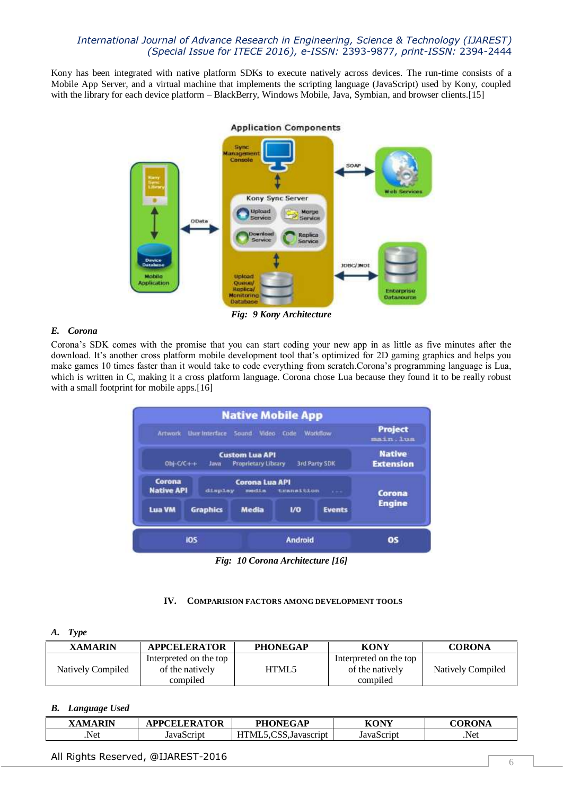Kony has been integrated with native platform SDKs to execute natively across devices. The run-time consists of a Mobile App Server, and a virtual machine that implements the scripting language (JavaScript) used by Kony, coupled with the library for each device platform – BlackBerry, Windows Mobile, Java, Symbian, and browser clients.[15]



*Fig: 9 Kony Architecture*

# *E. Corona*

Corona's SDK comes with the promise that you can start coding your new app in as little as five minutes after the download. It's another cross platform mobile development tool that's optimized for 2D gaming graphics and helps you make games 10 times faster than it would take to code everything from scratch.Corona's programming language is Lua, which is written in C, making it a cross platform language. Corona chose Lua because they found it to be really robust with a small footprint for mobile apps.[16]



*Fig: 10 Corona Architecture [16]*

## **IV. COMPARISION FACTORS AMONG DEVELOPMENT TOOLS**

## *A. Type*

| <b>XAMARIN</b>    | <b>APPCELERATOR</b>                                   | <b>PHONEGAP</b> | <b>KONY</b>                                           | <b>CORONA</b>     |
|-------------------|-------------------------------------------------------|-----------------|-------------------------------------------------------|-------------------|
| Natively Compiled | Interpreted on the top<br>of the natively<br>compiled | HTML5           | Interpreted on the top<br>of the natively<br>compiled | Natively Compiled |

## *B. Language Used*

| <b>XAMARIN</b> | <b>APPCELERATOR</b> | <b>PHONEGAP</b>                                      | KONY       | CORONA |
|----------------|---------------------|------------------------------------------------------|------------|--------|
| Net.           | JavaScript          | $\cap$<br><b>TITTA</b><br>"''ML.<br>J.CSS.Javascript | JavaScript | .Net   |

# All Rights Reserved, @IJAREST-2016  $\overline{\phantom{0}}$  6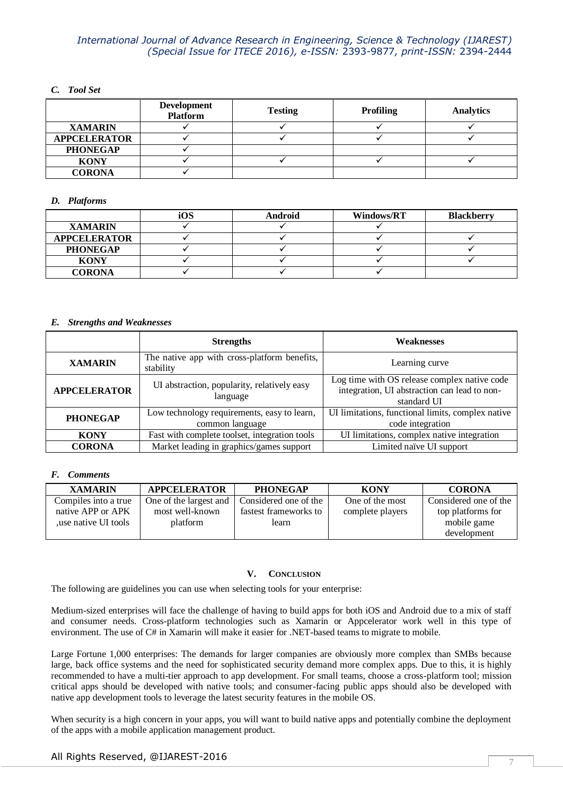## *C. Tool Set*

|                     | <b>Development</b><br><b>Platform</b> | <b>Testing</b> | <b>Profiling</b> | <b>Analytics</b> |
|---------------------|---------------------------------------|----------------|------------------|------------------|
| <b>XAMARIN</b>      |                                       |                |                  |                  |
| <b>APPCELERATOR</b> |                                       |                |                  |                  |
| <b>PHONEGAP</b>     |                                       |                |                  |                  |
| <b>KONY</b>         |                                       |                |                  |                  |
| <b>CORONA</b>       |                                       |                |                  |                  |

## *D. Platforms*

|                     | iOS | <b>Android</b> | <b>Windows/RT</b> | <b>Blackberry</b> |
|---------------------|-----|----------------|-------------------|-------------------|
| <b>XAMARIN</b>      |     |                |                   |                   |
| <b>APPCELERATOR</b> |     |                |                   |                   |
| <b>PHONEGAP</b>     |     |                |                   |                   |
| <b>KONY</b>         |     |                |                   |                   |
| <b>CORONA</b>       |     |                |                   |                   |

#### *E. Strengths and Weaknesses*

|                     | <b>Strengths</b>                                               | <b>Weaknesses</b>                                                                                           |  |
|---------------------|----------------------------------------------------------------|-------------------------------------------------------------------------------------------------------------|--|
| <b>XAMARIN</b>      | The native app with cross-platform benefits,<br>stability      | Learning curve                                                                                              |  |
| <b>APPCELERATOR</b> | UI abstraction, popularity, relatively easy<br>language        | Log time with OS release complex native code<br>integration, UI abstraction can lead to non-<br>standard UI |  |
| <b>PHONEGAP</b>     | Low technology requirements, easy to learn,<br>common language | UI limitations, functional limits, complex native<br>code integration                                       |  |
| <b>KONY</b>         | Fast with complete toolset, integration tools                  | UI limitations, complex native integration                                                                  |  |
| <b>CORONA</b>       | Market leading in graphics/games support                       | Limited naïve UI support                                                                                    |  |

## *F. Comments*

| <b>XAMARIN</b>       | <b>APPCELERATOR</b>    | <b>PHONEGAP</b>       | <b>KONY</b>      | <b>CORONA</b>         |
|----------------------|------------------------|-----------------------|------------------|-----------------------|
| Compiles into a true | One of the largest and | Considered one of the | One of the most  | Considered one of the |
| native APP or APK    | most well-known        | fastest frameworks to | complete players | top platforms for     |
| use native UI tools  | platform               | learn                 |                  | mobile game           |
|                      |                        |                       |                  | development           |

## **V. CONCLUSION**

The following are guidelines you can use when selecting tools for your enterprise:

Medium-sized enterprises will face the challenge of having to build apps for both iOS and Android due to a mix of staff and consumer needs. Cross-platform technologies such as Xamarin or Appcelerator work well in this type of environment. The use of C# in Xamarin will make it easier for .NET-based teams to migrate to mobile.

Large Fortune 1,000 enterprises: The demands for larger companies are obviously more complex than SMBs because large, back office systems and the need for sophisticated security demand more complex apps. Due to this, it is highly recommended to have a multi-tier approach to app development. For small teams, choose a cross-platform tool; mission critical apps should be developed with native tools; and consumer-facing public apps should also be developed with native app development tools to leverage the latest security features in the mobile OS.

When security is a high concern in your apps, you will want to build native apps and potentially combine the deployment of the apps with a mobile application management product.

# All Rights Reserved, @IJAREST-2016 **7**